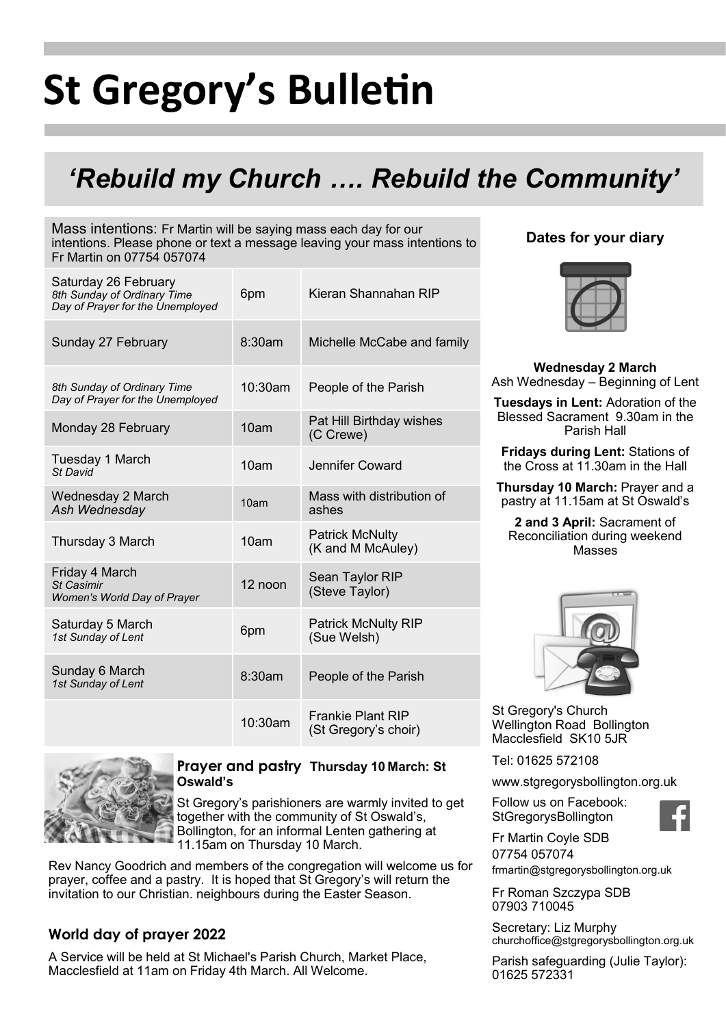# **St Gregory's Bulletin**

# *'Rebuild my Church …. Rebuild the Community'*

Mass intentions: Fr Martin will be saying mass each day for our intentions. Please phone or text a message leaving your mass intentions to Fr Martin on 07754 057074

| Saturday 26 February<br>8th Sunday of Ordinary Time<br>Day of Prayer for the Unemployed | 6pm              | Kieran Shannahan RIP                             |
|-----------------------------------------------------------------------------------------|------------------|--------------------------------------------------|
| Sunday 27 February                                                                      | 8:30am           | Michelle McCabe and family                       |
| 8th Sunday of Ordinary Time<br>Day of Prayer for the Unemployed                         | 10:30am          | People of the Parish                             |
| Monday 28 February                                                                      | 10 <sub>am</sub> | Pat Hill Birthday wishes<br>(C Crewe)            |
| Tuesday 1 March<br>St David                                                             | 10am             | Jennifer Coward                                  |
| Wednesday 2 March<br>Ash Wednesday                                                      | 10am             | Mass with distribution of<br>ashes               |
| Thursday 3 March                                                                        | 10 <sub>am</sub> | <b>Patrick McNulty</b><br>(K and M McAuley)      |
| Friday 4 March<br><b>St Casimir</b><br>Women's World Day of Prayer                      | 12 noon          | Sean Taylor RIP<br>(Steve Taylor)                |
| Saturday 5 March<br>1st Sunday of Lent                                                  | 6pm              | <b>Patrick McNulty RIP</b><br>(Sue Welsh)        |
| Sunday 6 March<br>1st Sunday of Lent                                                    | 8:30am           | People of the Parish                             |
|                                                                                         | 10:30am          | <b>Frankie Plant RIP</b><br>(St Gregory's choir) |





**Wednesday 2 March**  Ash Wednesday – Beginning of Lent

**Tuesdays in Lent:** Adoration of the Blessed Sacrament 9.30am in the Parish Hall

**Fridays during Lent:** Stations of the Cross at 11.30am in the Hall

**Thursday 10 March:** Prayer and a pastry at 11.15am at St Oswald's

**2 and 3 April:** Sacrament of Reconciliation during weekend Masses



St Gregory's Church Wellington Road Bollington Macclesfield SK10 5JR

Tel: 01625 572108

www.stgregorysbollington.org.uk

Fr Martin Coyle SDB 07754 057074

Follow us on Facebook: **StGregorysBollington** 

frmartin@stgregorysbollington.org.uk

Fr Roman Szczypa SDB 07903 710045

Secretary: Liz Murphy churchoffice@stgregorysbollington.org.uk

Parish safeguarding (Julie Taylor): 01625 572331



#### **Prayer and pastry Thursday 10 March: St Oswald's**

St Gregory's parishioners are warmly invited to get together with the community of St Oswald's, Bollington, for an informal Lenten gathering at 11.15am on Thursday 10 March.

Rev Nancy Goodrich and members of the congregation will welcome us for prayer, coffee and a pastry. It is hoped that St Gregory's will return the invitation to our Christian. neighbours during the Easter Season.

## **World day of prayer 2022**

A Service will be held at St Michael's Parish Church, Market Place, Macclesfield at 11am on Friday 4th March. All Welcome.